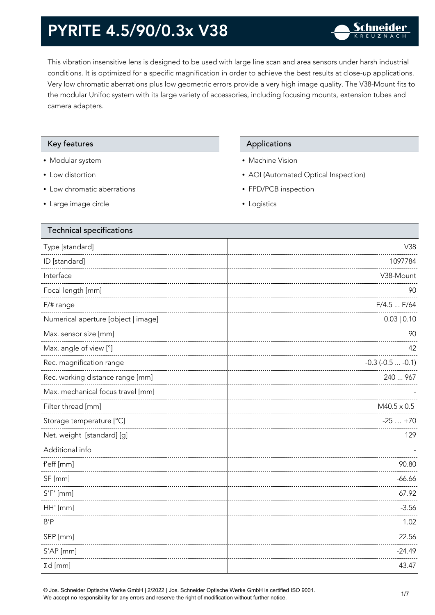This vibration insensitive lens is designed to be used with large line scan and area sensors under harsh industrial conditions. It is optimized for a specific magnification in order to achieve the best results at close-up applications. Very low chromatic aberrations plus low geometric errors provide a very high image quality. The V38-Mount fits to the modular Unifoc system with its large variety of accessories, including focusing mounts, extension tubes and camera adapters.

### Key features **Applications** Applications

- Modular system
- Low distortion
- Low chromatic aberrations
- Large image circle

- Machine Vision
- AOI (Automated Optical Inspection)
- FPD/PCB inspection
- Logistics

| <b>Technical specifications</b>     |                       |
|-------------------------------------|-----------------------|
| Type [standard]                     | V38                   |
| ID [standard]                       | 1097784               |
| Interface                           | V38-Mount             |
| Focal length [mm]                   | 90                    |
| F/# range                           | F/4.5  F/64           |
| Numerical aperture [object   image] | 0.03   0.10           |
| Max. sensor size [mm]               | 90                    |
| Max. angle of view [°]              | 42                    |
| Rec. magnification range            | $-0.3$ $(-0.5  -0.1)$ |
| Rec. working distance range [mm]    | 240  967              |
| Max. mechanical focus travel [mm]   |                       |
| Filter thread [mm]                  | $M40.5 \times 0.5$    |
| Storage temperature [°C]            | $-25+70$              |
| Net. weight [standard] [g]          | 129                   |
| Additional info                     |                       |
| f'eff [mm]                          | 90.80                 |
| SF [mm]                             | $-66.66$              |
| $S'F'$ [mm]                         | 67.92                 |
| HH' [mm]                            | $-3.56$               |
| $\beta$ 'P                          | 1.02                  |
| SEP [mm]                            | 22.56                 |
| S'AP [mm]                           | $-24.49$              |
| $\Sigma d$ [mm]                     | 43.47                 |
|                                     |                       |

© Jos. Schneider Optische Werke GmbH | 2/2022 | Jos. Schneider Optische Werke GmbH is certified ISO 9001.  $\bullet$  Jos. Schneider Opuscrie werke Grillon | Zizuzz | Jos. Schneider Opuscrie werke Grillon is certified iSO 9001.<br>We accept no responsibility for any errors and reserve the right of modification without further notice.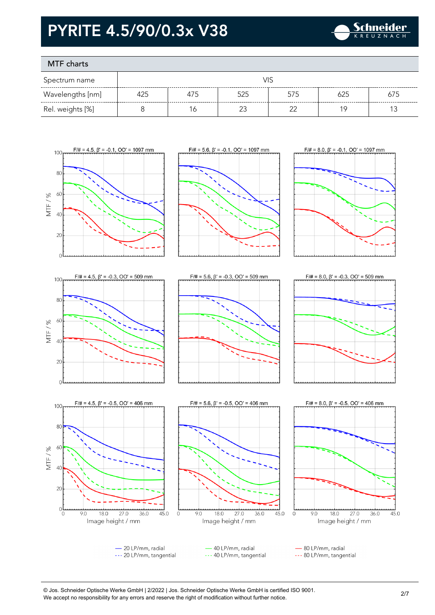

### MTF charts

| Spectrum name    |     |     |        |        |     |     |
|------------------|-----|-----|--------|--------|-----|-----|
| Wavelengths [nm] | 425 | 475 | 525    | 575    | 625 | 675 |
| Rel. weights [%] |     | Ó   | $\sim$ | $\cap$ | 1 Q |     |





















40 LP/mm, radial --- 40 LP/mm, tangential

- 80 LP/mm, radial --- 80 LP/mm, tangential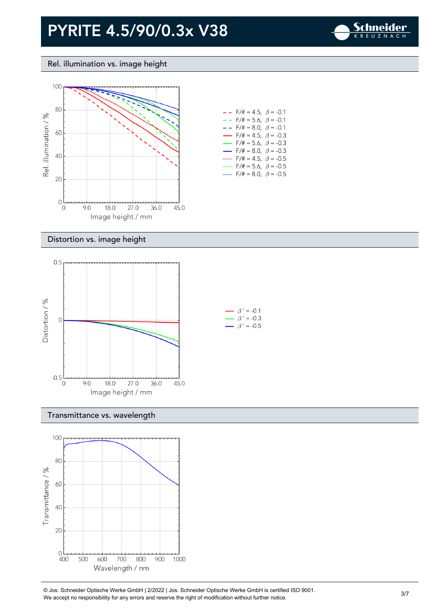

Rel. illumination vs. image height



| - -                      | F/# = 4.5, $\beta$ = -0.1              |  |
|--------------------------|----------------------------------------|--|
| $- -$                    | $F/\ddot{=} = 5.6, \ \beta = -0.1$     |  |
| - -                      | $F/\ddot{}= 8.0, \beta = -0.1$         |  |
| $\overline{\phantom{0}}$ | $F/\# = 4.5, \ \beta = -0.3$           |  |
|                          | $F/\# = 5.6, \ \beta = -0.3$           |  |
| $\overline{\phantom{0}}$ | $F/\ddot{=} = 8.0, \ \ \beta = -0.3$   |  |
|                          | $F/\ddot{=} = 4.5, \ \beta = -0.5$     |  |
|                          | $F/\ddot{=} = 5.6, \ \beta = -0.5$     |  |
|                          | $F/\ddot{\pi} = 8.0, \ \ \beta = -0.5$ |  |

### Distortion vs. image height



#### Transmittance vs. wavelength



© Jos. Schneider Optische Werke GmbH | 2/2022 | Jos. Schneider Optische Werke GmbH is certified ISO 9001.  $\degree$  Jos. Scrinelder Opuscrie werke Grildri | 2/2022 | Jos. Scrinelder Opuscrie werke Grildri is certuled ISO 9001.<br>We accept no responsibility for any errors and reserve the right of modification without further notice.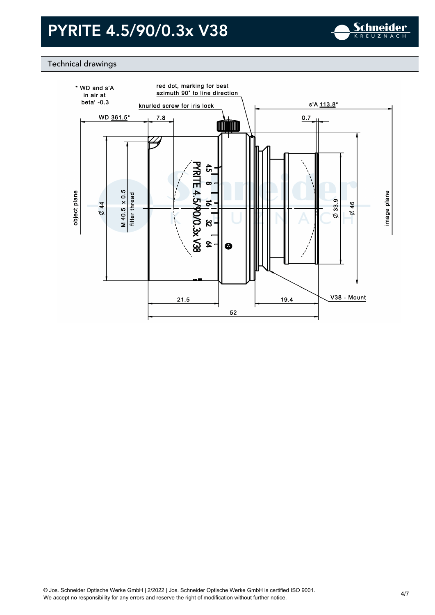

### Technical drawings

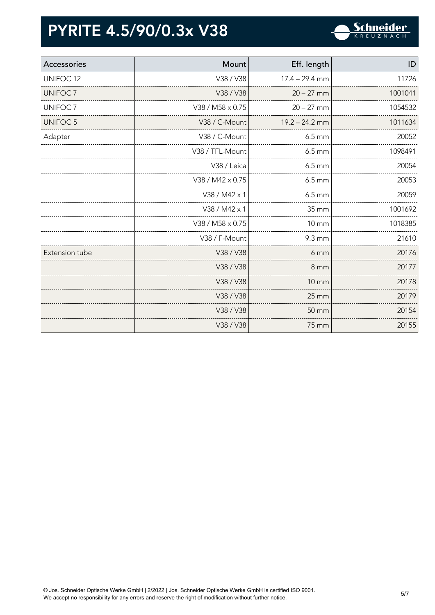

| Accessories          | Mount            | Eff. length        | ID      |
|----------------------|------------------|--------------------|---------|
| UNIFOC <sub>12</sub> | V38 / V38        | $17.4 - 29.4$ mm   | 11726   |
| UNIFOC <sub>7</sub>  | V38 / V38        | $20 - 27$ mm       | 1001041 |
| UNIFOC <sub>7</sub>  | V38 / M58 x 0.75 | $20 - 27$ mm       | 1054532 |
| <b>UNIFOC 5</b>      | V38 / C-Mount    | $19.2 - 24.2$ mm   | 1011634 |
| Adapter              | V38 / C-Mount    | $6.5 \text{ mm}$   | 20052   |
|                      | V38 / TFL-Mount  | $6.5 \text{ mm}$   | 1098491 |
|                      | V38 / Leica      | $6.5 \text{ mm}$   | 20054   |
|                      | V38 / M42 x 0.75 | $6.5 \text{ mm}$   | 20053   |
|                      | V38 / M42 x 1    | $6.5 \, \text{mm}$ | 20059   |
|                      | V38 / M42 x 1    | 35 mm              | 1001692 |
|                      | V38 / M58 x 0.75 | $10 \, \text{mm}$  | 1018385 |
|                      | V38 / F-Mount    | 9.3 mm             | 21610   |
| Extension tube       | V38 / V38        | 6 mm               | 20176   |
|                      | V38 / V38        | 8 mm               | 20177   |
|                      | V38 / V38        | <b>10 mm</b>       | 20178   |
|                      | V38 / V38        | 25 mm              | 20179   |
|                      | V38 / V38        | 50 mm              | 20154   |
|                      | V38 / V38        | 75 mm              | 20155   |